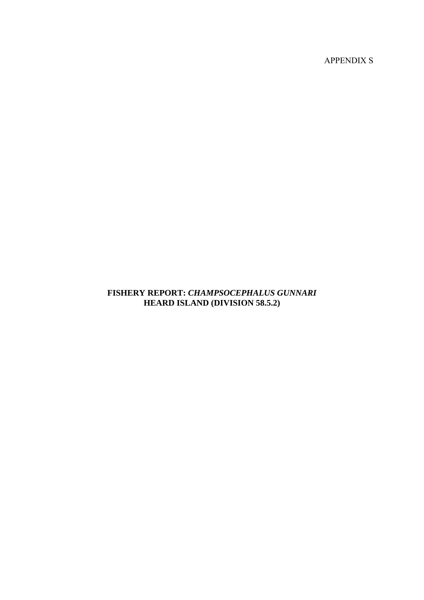APPENDIX S

# **FISHERY REPORT:** *CHAMPSOCEPHALUS GUNNARI*  **HEARD ISLAND (DIVISION 58.5.2)**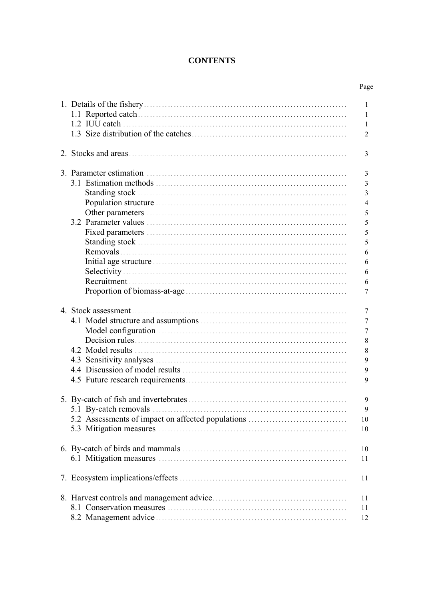# **CONTENTS**

|                                                   | Page                                                                       |
|---------------------------------------------------|----------------------------------------------------------------------------|
|                                                   | 1<br>1<br>1<br>$\overline{2}$                                              |
|                                                   | 3                                                                          |
|                                                   | 3<br>3<br>3<br>$\overline{4}$<br>5<br>5<br>5<br>5<br>6<br>6<br>6<br>6<br>7 |
|                                                   | 7<br>7<br>$\tau$<br>8<br>8<br>9<br>9<br>9                                  |
| 5.2 Assessments of impact on affected populations | 9<br>9<br>10<br>10                                                         |
|                                                   | 10<br>11                                                                   |
|                                                   | 11                                                                         |
|                                                   | 11<br>11<br>12                                                             |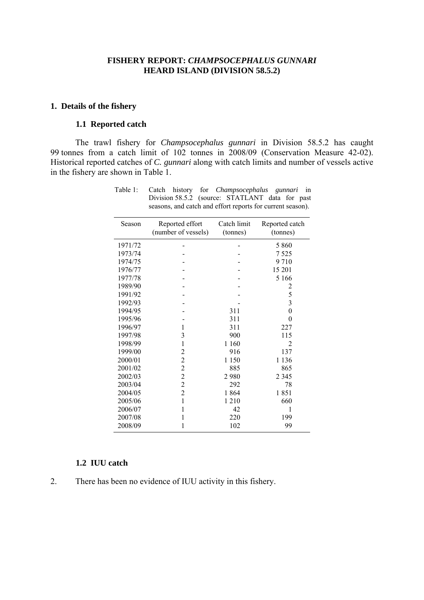### **FISHERY REPORT:** *CHAMPSOCEPHALUS GUNNARI* **HEARD ISLAND (DIVISION 58.5.2)**

### <span id="page-2-0"></span>**1. Details of the fishery**

# **1.1 Reported catch**

The trawl fishery for *Champsocephalus gunnari* in Division 58.5.2 has caught 99 tonnes from a catch limit of 102 tonnes in 2008/09 (Conservation Measure 42-02). Historical reported catches of *C. gunnari* along with catch limits and number of vessels active in the fishery are shown in Table 1.

| Season  | Reported effort<br>(number of vessels) | Catch limit<br>(tonnes) | Reported catch<br>(tonnes) |
|---------|----------------------------------------|-------------------------|----------------------------|
| 1971/72 |                                        |                         | 5 8 6 0                    |
| 1973/74 |                                        |                         | 7525                       |
| 1974/75 |                                        |                         | 9710                       |
| 1976/77 |                                        |                         | 15 201                     |
| 1977/78 |                                        |                         | 5 1 6 6                    |
| 1989/90 |                                        |                         | $\overline{c}$             |
| 1991/92 |                                        |                         | 5                          |
| 1992/93 |                                        |                         | $\overline{3}$             |
| 1994/95 |                                        | 311                     | $\overline{0}$             |
| 1995/96 |                                        | 311                     | $\theta$                   |
| 1996/97 | 1                                      | 311                     | 227                        |
| 1997/98 | 3                                      | 900                     | 115                        |
| 1998/99 | $\mathbf{1}$                           | 1 1 6 0                 | $\overline{c}$             |
| 1999/00 | $\overline{c}$                         | 916                     | 137                        |
| 2000/01 | $\overline{c}$                         | 1 1 5 0                 | 1 1 3 6                    |
| 2001/02 | $\overline{c}$                         | 885                     | 865                        |
| 2002/03 | $\frac{2}{2}$                          | 2980                    | 2 3 4 5                    |
| 2003/04 |                                        | 292                     | 78                         |
| 2004/05 | $\overline{c}$                         | 1864                    | 1851                       |
| 2005/06 | $\mathbf{1}$                           | 1210                    | 660                        |
| 2006/07 | 1                                      | 42                      | 1                          |
| 2007/08 | 1                                      | 220                     | 199                        |
| 2008/09 | 1                                      | 102                     | 99                         |

Table 1: Catch history for *Champsocephalus gunnari* in Division 58.5.2 (source: STATLANT data for past seasons, and catch and effort reports for current season).

# **1.2 IUU catch**

2. There has been no evidence of IUU activity in this fishery.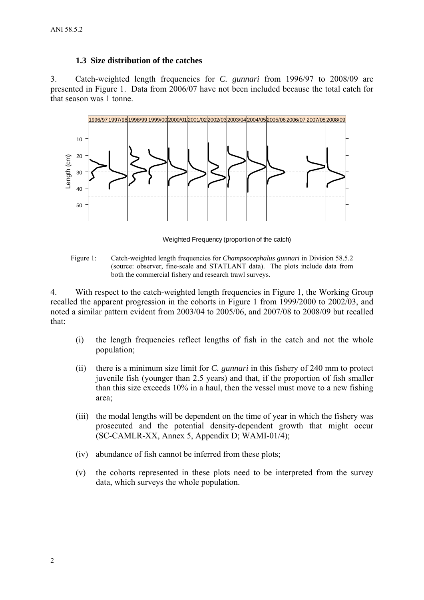# **1.3 Size distribution of the catches**

<span id="page-3-0"></span>3. Catch-weighted length frequencies for *C. gunnari* from 1996/97 to 2008/09 are presented in Figure 1. Data from 2006/07 have not been included because the total catch for that season was 1 tonne.



Weighted Frequency (proportion of the catch)

Figure 1: Catch-weighted length frequencies for *Champsocephalus gunnari* in Division 58.5.2 (source: observer, fine-scale and STATLANT data). The plots include data from both the commercial fishery and research trawl surveys.

4. With respect to the catch-weighted length frequencies in Figure 1, the Working Group recalled the apparent progression in the cohorts in Figure 1 from 1999/2000 to 2002/03, and noted a similar pattern evident from 2003/04 to 2005/06, and 2007/08 to 2008/09 but recalled that:

- (i) the length frequencies reflect lengths of fish in the catch and not the whole population;
- (ii) there is a minimum size limit for *C. gunnari* in this fishery of 240 mm to protect juvenile fish (younger than 2.5 years) and that, if the proportion of fish smaller than this size exceeds 10% in a haul, then the vessel must move to a new fishing area;
- (iii) the modal lengths will be dependent on the time of year in which the fishery was prosecuted and the potential density-dependent growth that might occur (SC-CAMLR-XX, Annex 5, Appendix D; WAMI-01/4);
- (iv) abundance of fish cannot be inferred from these plots;
- (v) the cohorts represented in these plots need to be interpreted from the survey data, which surveys the whole population.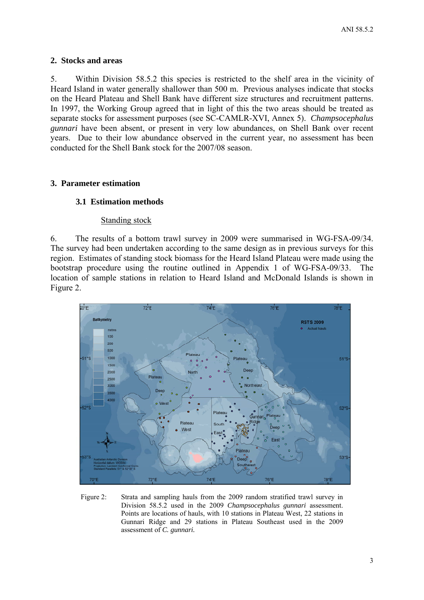# <span id="page-4-0"></span>**2. Stocks and areas**

5. Within Division 58.5.2 this species is restricted to the shelf area in the vicinity of Heard Island in water generally shallower than 500 m. Previous analyses indicate that stocks on the Heard Plateau and Shell Bank have different size structures and recruitment patterns. In 1997, the Working Group agreed that in light of this the two areas should be treated as separate stocks for assessment purposes (see SC-CAMLR-XVI, Annex 5). *Champsocephalus gunnari* have been absent, or present in very low abundances, on Shell Bank over recent years. Due to their low abundance observed in the current year, no assessment has been conducted for the Shell Bank stock for the 2007/08 season.

# **3. Parameter estimation**

# **3.1 Estimation methods**

## Standing stock

6. The results of a bottom trawl survey in 2009 were summarised in WG-FSA-09/34. The survey had been undertaken according to the same design as in previous surveys for this region. Estimates of standing stock biomass for the Heard Island Plateau were made using the bootstrap procedure using the routine outlined in Appendix 1 of WG-FSA-09/33. The location of sample stations in relation to Heard Island and McDonald Islands is shown in Figure 2.



Figure 2: Strata and sampling hauls from the 2009 random stratified trawl survey in Division 58.5.2 used in the 2009 *Champsocephalus gunnari* assessment. Points are locations of hauls, with 10 stations in Plateau West, 22 stations in Gunnari Ridge and 29 stations in Plateau Southeast used in the 2009 assessment of *C. gunnari.*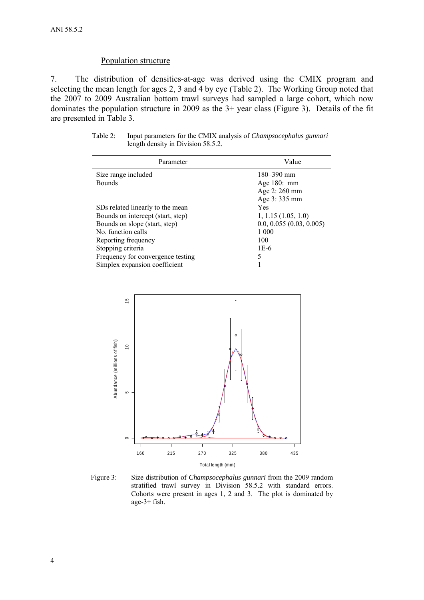### Population structure

Simplex expansion coefficient

<span id="page-5-0"></span>7. The distribution of densities-at-age was derived using the CMIX program and selecting the mean length for ages 2, 3 and 4 by eye (Table 2). The Working Group noted that the 2007 to 2009 Australian bottom trawl surveys had sampled a large cohort, which now dominates the population structure in 2009 as the 3+ year class (Figure 3). Details of the fit are presented in Table 3.

| Parameter                         | Value                      |
|-----------------------------------|----------------------------|
| Size range included               | $180 - 390$ mm             |
| <b>Bounds</b>                     | Age $180:$ mm              |
|                                   | Age 2: 260 mm              |
|                                   | Age 3:335 mm               |
| SDs related linearly to the mean  | Yes                        |
| Bounds on intercept (start, step) | $1, 1.15$ $(1.05, 1.0)$    |
| Bounds on slope (start, step)     | $0.0, 0.055$ (0.03, 0.005) |
| No. function calls                | 1 000                      |

Reporting frequency 100 Stopping criteria 1E-6 Frequency for convergence testing 5<br>Simplex expansion coefficient 1

| Table 2: | Input parameters for the CMIX analysis of <i>Champsocephalus gunnari</i> |
|----------|--------------------------------------------------------------------------|
|          | length density in Division 58.5.2.                                       |



Figure 3: Size distribution of *Champsocephalus gunnari* from the 2009 random stratified trawl survey in Division 58.5.2 with standard errors. Cohorts were present in ages 1, 2 and 3. The plot is dominated by age-3+ fish.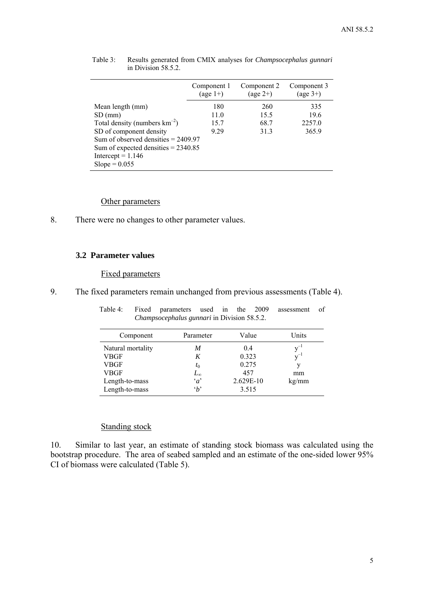|                                       | Component 1<br>$(\text{age } 1+)$ | Component 2<br>$(\text{age } 2+)$ | Component 3<br>$(\text{age }3+)$ |
|---------------------------------------|-----------------------------------|-----------------------------------|----------------------------------|
| Mean length (mm)                      | 180                               | 260                               | 335                              |
| $SD$ (mm)                             | 11.0                              | 15.5                              | 19.6                             |
| Total density (numbers $km^{-2}$ )    | 15.7                              | 68.7                              | 2257.0                           |
| SD of component density               | 9 2 9                             | 31.3                              | 365.9                            |
| Sum of observed densities $= 2409.97$ |                                   |                                   |                                  |
| Sum of expected densities $= 2340.85$ |                                   |                                   |                                  |
| Intercept = $1.146$                   |                                   |                                   |                                  |
| $Slope = 0.055$                       |                                   |                                   |                                  |

<span id="page-6-0"></span>Table 3: Results generated from CMIX analyses for *Champsocephalus gunnari* in Division 58.5.2.

### Other parameters

8. There were no changes to other parameter values.

### **3.2 Parameter values**

#### Fixed parameters

9. The fixed parameters remain unchanged from previous assessments (Table 4).

| Component         | Parameter    | Value     | Units    |
|-------------------|--------------|-----------|----------|
| Natural mortality | M            | 0.4       | $y^{-1}$ |
| VBGF              | K            | 0.323     | $v^{-1}$ |
| <b>VBGF</b>       | $t_0$        | 0.275     | v        |
| <b>VBGF</b>       | $L_{\infty}$ | 457       | mm       |
| Length-to-mass    | $\alpha$     | 2.629E-10 | kg/mm    |
| Length-to-mass    | $\Delta$     | 3.515     |          |

Table 4: Fixed parameters used in the 2009 assessment of *Champsocephalus gunnari* in Division 58.5.2.

# Standing stock

10. Similar to last year, an estimate of standing stock biomass was calculated using the bootstrap procedure. The area of seabed sampled and an estimate of the one-sided lower 95% CI of biomass were calculated (Table 5).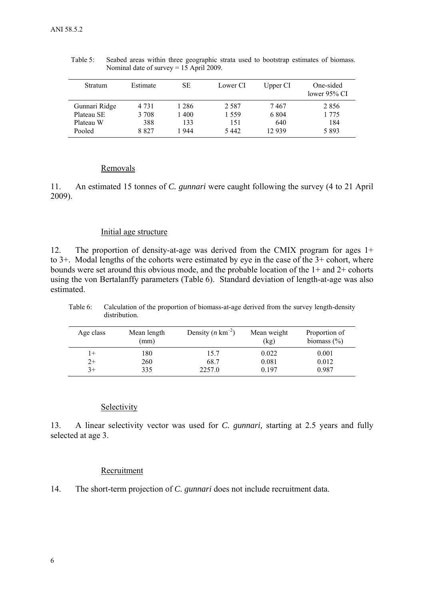| <b>Stratum</b> | Estimate | SЕ    | Lower CI | Upper CI | One-sided<br>lower $95\%$ CI |
|----------------|----------|-------|----------|----------|------------------------------|
| Gunnari Ridge  | 4 7 3 1  | 1 286 | 2.587    | 7 467    | 2856                         |
| Plateau SE     | 3 7 0 8  | 1400  | 1.559    | 6 8 0 4  | 1 775                        |
| Plateau W      | 388      | 133   | 151      | 640      | 184                          |
| Pooled         | 8827     | 1944  | 5442     | 12939    | 5893                         |

<span id="page-7-0"></span>Table 5: Seabed areas within three geographic strata used to bootstrap estimates of biomass. Nominal date of survey = 15 April 2009.

### Removals

11. An estimated 15 tonnes of *C. gunnari* were caught following the survey (4 to 21 April 2009).

# Initial age structure

12. The proportion of density-at-age was derived from the CMIX program for ages 1+ to 3+. Modal lengths of the cohorts were estimated by eye in the case of the 3+ cohort, where bounds were set around this obvious mode, and the probable location of the 1+ and 2+ cohorts using the von Bertalanffy parameters (Table 6). Standard deviation of length-at-age was also estimated.

| Age class | Mean length<br>(mm) | Density $(n \text{ km}^{-2})$ | Mean weight<br>(kg) | Proportion of<br>biomass $(\% )$ |
|-----------|---------------------|-------------------------------|---------------------|----------------------------------|
| $1+$      | 180                 | 15.7                          | 0.022               | 0.001                            |
| $2+$      | 260                 | 68.7                          | 0.081               | 0.012                            |
| $3+$      | 335                 | 2257.0                        | 0.197               | 0.987                            |

Table 6: Calculation of the proportion of biomass-at-age derived from the survey length-density distribution.

### Selectivity

13. A linear selectivity vector was used for *C. gunnari,* starting at 2.5 years and fully selected at age 3.

#### Recruitment

14. The short-term projection of *C. gunnari* does not include recruitment data.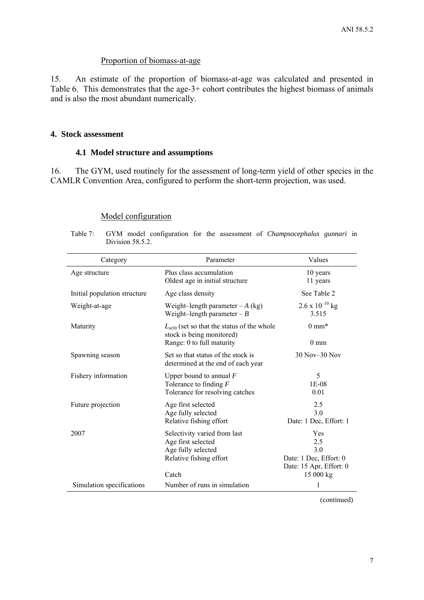### Proportion of biomass-at-age

<span id="page-8-0"></span>15. An estimate of the proportion of biomass-at-age was calculated and presented in Table 6. This demonstrates that the age-3+ cohort contributes the highest biomass of animals and is also the most abundant numerically.

#### **4. Stock assessment**

### **4.1 Model structure and assumptions**

16. The GYM, used routinely for the assessment of long-term yield of other species in the CAMLR Convention Area, configured to perform the short-term projection, was used.

| Category                     | Parameter                                                                                                    | Values                                                                             |
|------------------------------|--------------------------------------------------------------------------------------------------------------|------------------------------------------------------------------------------------|
| Age structure                | Plus class accumulation<br>Oldest age in initial structure                                                   | 10 years<br>11 years                                                               |
| Initial population structure | Age class density                                                                                            | See Table 2                                                                        |
| Weight-at-age                | Weight-length parameter $-A$ (kg)<br>Weight-length parameter $-B$                                            | $2.6 \times 10^{-10}$ kg<br>3.515                                                  |
| Maturity                     | $L_{m50}$ (set so that the status of the whole<br>stock is being monitored)<br>Range: 0 to full maturity     | $0 \text{ mm}^*$<br>$0 \text{ mm}$                                                 |
| Spawning season              | Set so that status of the stock is<br>determined at the end of each year                                     | $30$ Nov $-30$ Nov                                                                 |
| Fishery information          | Upper bound to annual $F$<br>Tolerance to finding $F$<br>Tolerance for resolving catches                     | 5<br>1E-08<br>0.01                                                                 |
| Future projection            | Age first selected<br>Age fully selected<br>Relative fishing effort                                          | 2.5<br>30<br>Date: 1 Dec, Effort: 1                                                |
| 2007                         | Selectivity varied from last<br>Age first selected<br>Age fully selected<br>Relative fishing effort<br>Catch | Yes<br>2.5<br>30<br>Date: 1 Dec, Effort: 0<br>Date: 15 Apr, Effort: 0<br>15 000 kg |
| Simulation specifications    | Number of runs in simulation                                                                                 | 1                                                                                  |

# Model configuration

Table 7: GYM model configuration for the assessment of *Champsocephalus gunnari* in Division 58.5.2.

(continued)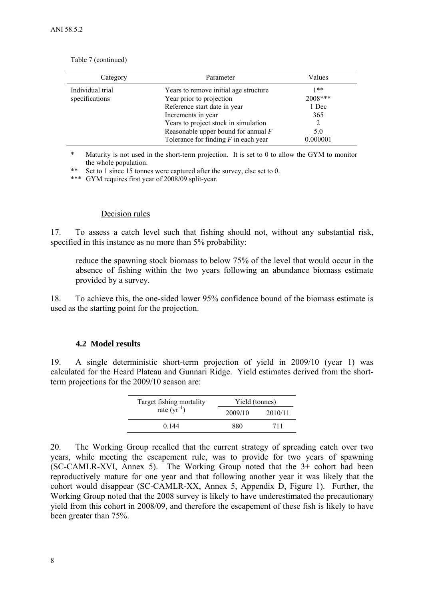| Category                           | Parameter                                                                                                                                                                                                                                          | Values                                              |
|------------------------------------|----------------------------------------------------------------------------------------------------------------------------------------------------------------------------------------------------------------------------------------------------|-----------------------------------------------------|
| Individual trial<br>specifications | Years to remove initial age structure<br>Year prior to projection<br>Reference start date in year<br>Increments in year<br>Years to project stock in simulation<br>Reasonable upper bound for annual $F$<br>Tolerance for finding $F$ in each year | $1**$<br>2008***<br>1 Dec<br>365<br>5.0<br>0.000001 |

<span id="page-9-0"></span>Table 7 (continued)

\* Maturity is not used in the short-term projection. It is set to 0 to allow the GYM to monitor the whole population.

\*\* Set to 1 since 15 tonnes were captured after the survey, else set to 0.

\*\*\* GYM requires first year of 2008/09 split-year.

#### Decision rules

17. To assess a catch level such that fishing should not, without any substantial risk, specified in this instance as no more than 5% probability:

reduce the spawning stock biomass to below 75% of the level that would occur in the absence of fishing within the two years following an abundance biomass estimate provided by a survey.

18. To achieve this, the one-sided lower 95% confidence bound of the biomass estimate is used as the starting point for the projection.

#### **4.2 Model results**

19. A single deterministic short-term projection of yield in 2009/10 (year 1) was calculated for the Heard Plateau and Gunnari Ridge. Yield estimates derived from the shortterm projections for the 2009/10 season are:

| Target fishing mortality  | Yield (tonnes) |         |  |  |
|---------------------------|----------------|---------|--|--|
| rate $(\mathbf{yr}^{-1})$ | 2009/10        | 2010/11 |  |  |
| 0.144                     | 880            | 711     |  |  |

20. The Working Group recalled that the current strategy of spreading catch over two years, while meeting the escapement rule, was to provide for two years of spawning (SC-CAMLR-XVI, Annex 5). The Working Group noted that the 3+ cohort had been reproductively mature for one year and that following another year it was likely that the cohort would disappear (SC-CAMLR-XX, Annex 5, Appendix D, Figure 1). Further, the Working Group noted that the 2008 survey is likely to have underestimated the precautionary yield from this cohort in 2008/09, and therefore the escapement of these fish is likely to have been greater than 75%.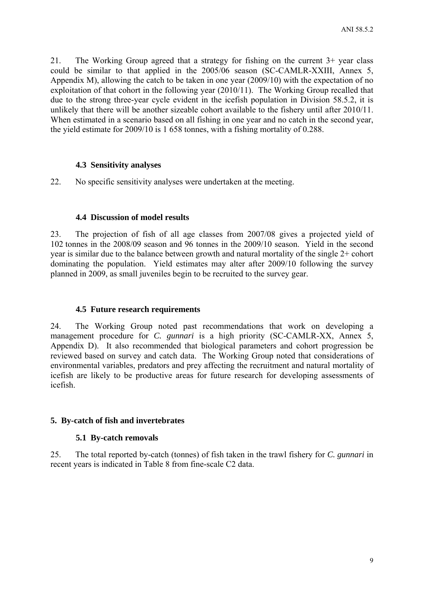<span id="page-10-0"></span>21. The Working Group agreed that a strategy for fishing on the current 3+ year class could be similar to that applied in the 2005/06 season (SC-CAMLR-XXIII, Annex 5, Appendix M), allowing the catch to be taken in one year (2009/10) with the expectation of no exploitation of that cohort in the following year (2010/11). The Working Group recalled that due to the strong three-year cycle evident in the icefish population in Division 58.5.2, it is unlikely that there will be another sizeable cohort available to the fishery until after 2010/11. When estimated in a scenario based on all fishing in one year and no catch in the second year, the yield estimate for 2009/10 is 1 658 tonnes, with a fishing mortality of 0.288.

# **4.3 Sensitivity analyses**

22. No specific sensitivity analyses were undertaken at the meeting.

# **4.4 Discussion of model results**

23. The projection of fish of all age classes from 2007/08 gives a projected yield of 102 tonnes in the 2008/09 season and 96 tonnes in the 2009/10 season. Yield in the second year is similar due to the balance between growth and natural mortality of the single 2+ cohort dominating the population. Yield estimates may alter after 2009/10 following the survey planned in 2009, as small juveniles begin to be recruited to the survey gear.

## **4.5 Future research requirements**

24. The Working Group noted past recommendations that work on developing a management procedure for *C. gunnari* is a high priority (SC-CAMLR-XX, Annex 5, Appendix D). It also recommended that biological parameters and cohort progression be reviewed based on survey and catch data. The Working Group noted that considerations of environmental variables, predators and prey affecting the recruitment and natural mortality of icefish are likely to be productive areas for future research for developing assessments of icefish.

# **5. By-catch of fish and invertebrates**

# **5.1 By-catch removals**

25. The total reported by-catch (tonnes) of fish taken in the trawl fishery for *C. gunnari* in recent years is indicated in Table 8 from fine-scale C2 data.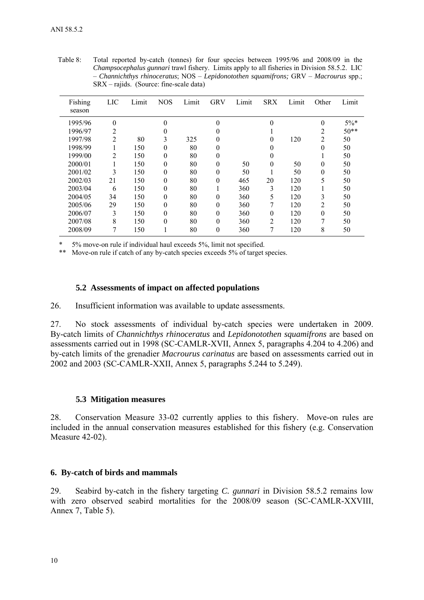| Fishing<br>season | <b>LIC</b>     | Limit | <b>NOS</b> | Limit | <b>GRV</b>     | Limit | <b>SRX</b> | Limit | Other          | Limit  |
|-------------------|----------------|-------|------------|-------|----------------|-------|------------|-------|----------------|--------|
| 1995/96           | $\theta$       |       | $\theta$   |       | $\theta$       |       | 0          |       | $\theta$       | $5\%*$ |
| 1996/97           | 2              |       | 0          |       | $\theta$       |       |            |       | 2              | $50**$ |
| 1997/98           | $\overline{2}$ | 80    | 3          | 325   | 0              |       | 0          | 120   | $\overline{c}$ | 50     |
| 1998/99           |                | 150   | $\theta$   | 80    | $\theta$       |       |            |       | 0              | 50     |
| 1999/00           | $\overline{2}$ | 150   | $\theta$   | 80    | $\theta$       |       | 0          |       |                | 50     |
| 2000/01           |                | 150   | $\theta$   | 80    | $\theta$       | 50    | 0          | 50    | 0              | 50     |
| 2001/02           | 3              | 150   | $\theta$   | 80    | $\theta$       | 50    |            | 50    | $\theta$       | 50     |
| 2002/03           | 21             | 150   | $\theta$   | 80    | $\theta$       | 465   | 20         | 120   | 5              | 50     |
| 2003/04           | 6              | 150   | $\Omega$   | 80    |                | 360   | 3          | 120   |                | 50     |
| 2004/05           | 34             | 150   | $\Omega$   | 80    | $\theta$       | 360   | 5          | 120   | 3              | 50     |
| 2005/06           | 29             | 150   | $\Omega$   | 80    | $\theta$       | 360   | 7          | 120   | $\overline{c}$ | 50     |
| 2006/07           | 3              | 150   | $\theta$   | 80    | $\overline{0}$ | 360   | $\theta$   | 120   | $\theta$       | 50     |
| 2007/08           | 8              | 150   | $\theta$   | 80    | $\theta$       | 360   | 2          | 120   | 7              | 50     |
| 2008/09           |                | 150   |            | 80    | $\theta$       | 360   |            | 120   | 8              | 50     |

<span id="page-11-0"></span>Table 8: Total reported by-catch (tonnes) for four species between 1995/96 and 2008/09 in the *Champsocephalus gunnari* trawl fishery. Limits apply to all fisheries in Division 58.5.2. LIC – *Channichthys rhinoceratus*; NOS – *Lepidonotothen squamifrons;* GRV – *Macrourus* spp.; SRX – rajids. (Source: fine-scale data)

5% move-on rule if individual haul exceeds 5%, limit not specified.

\*\* Move-on rule if catch of any by-catch species exceeds 5% of target species.

## **5.2 Assessments of impact on affected populations**

26. Insufficient information was available to update assessments.

27. No stock assessments of individual by-catch species were undertaken in 2009. By-catch limits of *Channichthys rhinoceratus* and *Lepidonotothen squamifrons* are based on assessments carried out in 1998 (SC-CAMLR-XVII, Annex 5, paragraphs 4.204 to 4.206) and by-catch limits of the grenadier *Macrourus carinatus* are based on assessments carried out in 2002 and 2003 (SC-CAMLR-XXII, Annex 5, paragraphs 5.244 to 5.249).

#### **5.3 Mitigation measures**

28. Conservation Measure 33-02 currently applies to this fishery. Move-on rules are included in the annual conservation measures established for this fishery (e.g. Conservation Measure 42-02).

# **6. By-catch of birds and mammals**

29. Seabird by-catch in the fishery targeting *C. gunnari* in Division 58.5.2 remains low with zero observed seabird mortalities for the 2008/09 season (SC-CAMLR-XXVIII, Annex 7, Table 5).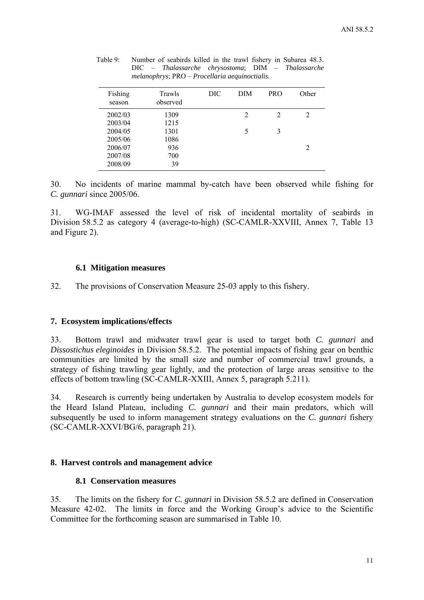| Fishing<br>season | Trawls<br>observed | DIC | DIM            | <b>PRO</b>     | Other |
|-------------------|--------------------|-----|----------------|----------------|-------|
| 2002/03           | 1309               |     | $\mathfrak{D}$ | $\overline{2}$ | 2     |
| 2003/04           | 1215               |     |                |                |       |
| 2004/05           | 1301               |     | 5              | 3              |       |
| 2005/06           | 1086               |     |                |                |       |
| 2006/07           | 936                |     |                |                | 2     |
| 2007/08           | 700                |     |                |                |       |
| 2008/09           | 39                 |     |                |                |       |

<span id="page-12-0"></span>

| Table 9: | Number of seabirds killed in the trawl fishery in Subarea 48.3. |
|----------|-----------------------------------------------------------------|
|          | DIC – Thalassarche chrysostoma; DIM – Thalassarche              |
|          | $melanophrys$ ; $PRO-Procellaria a equinocialis$ .              |

30. No incidents of marine mammal by-catch have been observed while fishing for *C. gunnari* since 2005/06.

31. WG-IMAF assessed the level of risk of incidental mortality of seabirds in Division 58.5.2 as category 4 (average-to-high) (SC-CAMLR-XXVIII, Annex 7, Table 13 and Figure 2).

# **6.1 Mitigation measures**

32. The provisions of Conservation Measure 25-03 apply to this fishery.

# **7. Ecosystem implications/effects**

33. Bottom trawl and midwater trawl gear is used to target both *C. gunnari* and *Dissostichus eleginoides* in Division 58.5.2. The potential impacts of fishing gear on benthic communities are limited by the small size and number of commercial trawl grounds, a strategy of fishing trawling gear lightly, and the protection of large areas sensitive to the effects of bottom trawling (SC-CAMLR-XXIII, Annex 5, paragraph 5.211).

34. Research is currently being undertaken by Australia to develop ecosystem models for the Heard Island Plateau, including *C. gunnari* and their main predators, which will subsequently be used to inform management strategy evaluations on the *C. gunnari* fishery (SC-CAMLR-XXVI/BG/6, paragraph 21).

# **8. Harvest controls and management advice**

# **8.1 Conservation measures**

35. The limits on the fishery for *C. gunnari* in Division 58.5.2 are defined in Conservation Measure 42-02. The limits in force and the Working Group's advice to the Scientific Committee for the forthcoming season are summarised in Table 10.